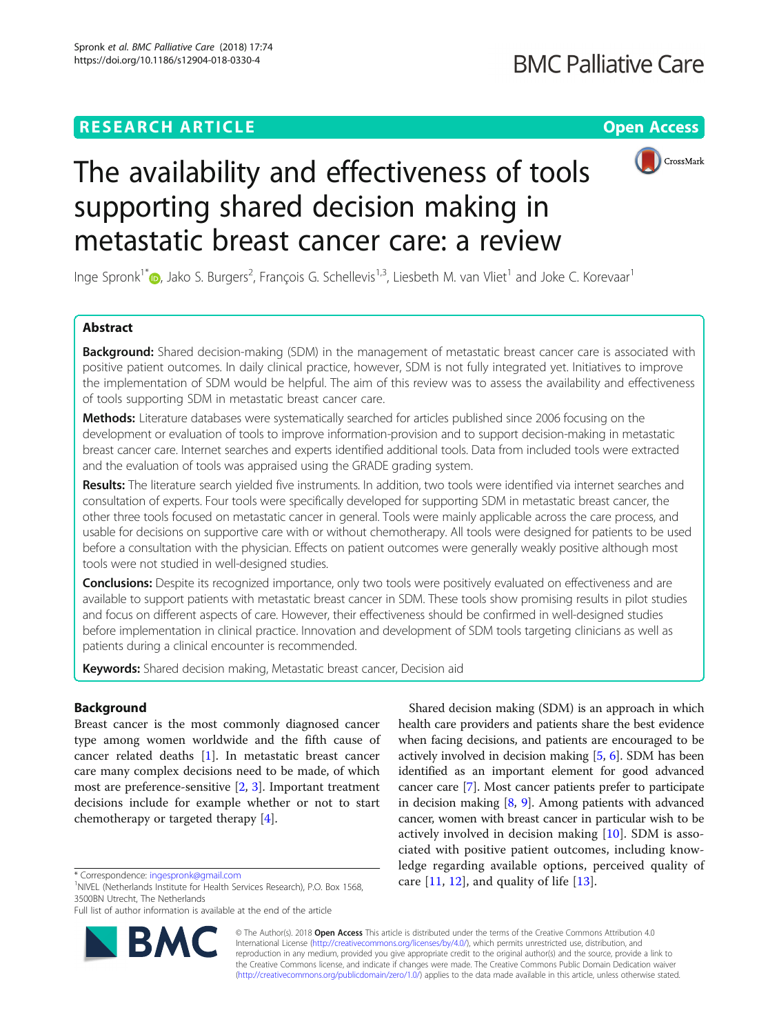## **RESEARCH ARTICLE Example 2014 12:30 The Contract of Contract ACCESS**



# The availability and effectiveness of tools supporting shared decision making in metastatic breast cancer care: a review

Inge Spronk<sup>1\*</sup>®[,](http://orcid.org/0000-0001-9571-576X) Jako S. Burgers<sup>2</sup>, François G. Schellevis<sup>1,3</sup>, Liesbeth M. van Vliet<sup>1</sup> and Joke C. Korevaar<sup>1</sup>

## Abstract

Background: Shared decision-making (SDM) in the management of metastatic breast cancer care is associated with positive patient outcomes. In daily clinical practice, however, SDM is not fully integrated yet. Initiatives to improve the implementation of SDM would be helpful. The aim of this review was to assess the availability and effectiveness of tools supporting SDM in metastatic breast cancer care.

Methods: Literature databases were systematically searched for articles published since 2006 focusing on the development or evaluation of tools to improve information-provision and to support decision-making in metastatic breast cancer care. Internet searches and experts identified additional tools. Data from included tools were extracted and the evaluation of tools was appraised using the GRADE grading system.

Results: The literature search yielded five instruments. In addition, two tools were identified via internet searches and consultation of experts. Four tools were specifically developed for supporting SDM in metastatic breast cancer, the other three tools focused on metastatic cancer in general. Tools were mainly applicable across the care process, and usable for decisions on supportive care with or without chemotherapy. All tools were designed for patients to be used before a consultation with the physician. Effects on patient outcomes were generally weakly positive although most tools were not studied in well-designed studies.

Conclusions: Despite its recognized importance, only two tools were positively evaluated on effectiveness and are available to support patients with metastatic breast cancer in SDM. These tools show promising results in pilot studies and focus on different aspects of care. However, their effectiveness should be confirmed in well-designed studies before implementation in clinical practice. Innovation and development of SDM tools targeting clinicians as well as patients during a clinical encounter is recommended.

Keywords: Shared decision making, Metastatic breast cancer, Decision aid

## Background

Breast cancer is the most commonly diagnosed cancer type among women worldwide and the fifth cause of cancer related deaths [[1\]](#page-6-0). In metastatic breast cancer care many complex decisions need to be made, of which most are preference-sensitive [[2,](#page-6-0) [3\]](#page-6-0). Important treatment decisions include for example whether or not to start chemotherapy or targeted therapy [\[4\]](#page-6-0).

<sup>1</sup>NIVEL (Netherlands Institute for Health Services Research), P.O. Box 1568, 3500BN Utrecht, The Netherlands

Full list of author information is available at the end of the article



Shared decision making (SDM) is an approach in which health care providers and patients share the best evidence when facing decisions, and patients are encouraged to be actively involved in decision making [\[5](#page-6-0), [6](#page-6-0)]. SDM has been identified as an important element for good advanced cancer care [[7\]](#page-6-0). Most cancer patients prefer to participate in decision making  $[8, 9]$  $[8, 9]$  $[8, 9]$  $[8, 9]$ . Among patients with advanced cancer, women with breast cancer in particular wish to be actively involved in decision making [[10\]](#page-7-0). SDM is associated with positive patient outcomes, including knowledge regarding available options, perceived quality of \* Correspondence: [ingespronk@gmail.com](mailto:ingespronk@gmail.com)  $\frac{1}{2}$  and quality of life [\[13](#page-7-0)].

> © The Author(s). 2018 Open Access This article is distributed under the terms of the Creative Commons Attribution 4.0 International License [\(http://creativecommons.org/licenses/by/4.0/](http://creativecommons.org/licenses/by/4.0/)), which permits unrestricted use, distribution, and reproduction in any medium, provided you give appropriate credit to the original author(s) and the source, provide a link to the Creative Commons license, and indicate if changes were made. The Creative Commons Public Domain Dedication waiver [\(http://creativecommons.org/publicdomain/zero/1.0/](http://creativecommons.org/publicdomain/zero/1.0/)) applies to the data made available in this article, unless otherwise stated.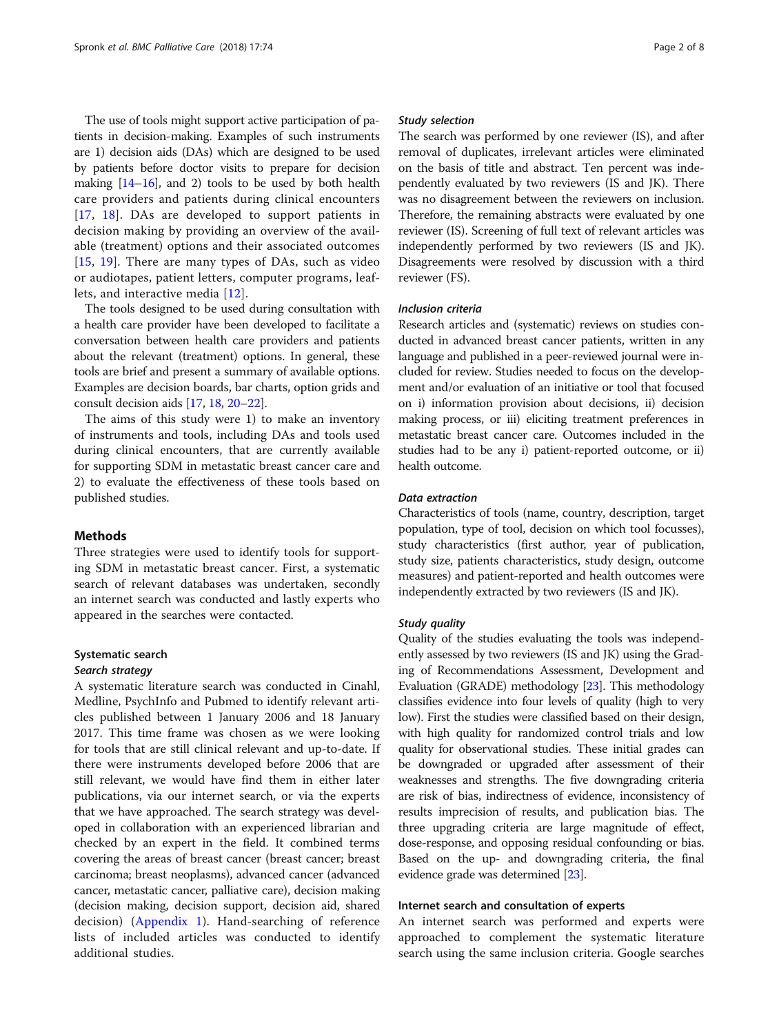The use of tools might support active participation of patients in decision-making. Examples of such instruments are 1) decision aids (DAs) which are designed to be used by patients before doctor visits to prepare for decision making [\[14](#page-7-0)–[16](#page-7-0)], and 2) tools to be used by both health care providers and patients during clinical encounters [[17](#page-7-0), [18](#page-7-0)]. DAs are developed to support patients in decision making by providing an overview of the available (treatment) options and their associated outcomes [[15](#page-7-0), [19\]](#page-7-0). There are many types of DAs, such as video or audiotapes, patient letters, computer programs, leaflets, and interactive media [[12](#page-7-0)].

The tools designed to be used during consultation with a health care provider have been developed to facilitate a conversation between health care providers and patients about the relevant (treatment) options. In general, these tools are brief and present a summary of available options. Examples are decision boards, bar charts, option grids and consult decision aids [\[17,](#page-7-0) [18](#page-7-0), [20](#page-7-0)–[22](#page-7-0)].

The aims of this study were 1) to make an inventory of instruments and tools, including DAs and tools used during clinical encounters, that are currently available for supporting SDM in metastatic breast cancer care and 2) to evaluate the effectiveness of these tools based on published studies.

## Methods

Three strategies were used to identify tools for supporting SDM in metastatic breast cancer. First, a systematic search of relevant databases was undertaken, secondly an internet search was conducted and lastly experts who appeared in the searches were contacted.

#### Systematic search

## Search strategy

A systematic literature search was conducted in Cinahl, Medline, PsychInfo and Pubmed to identify relevant articles published between 1 January 2006 and 18 January 2017. This time frame was chosen as we were looking for tools that are still clinical relevant and up-to-date. If there were instruments developed before 2006 that are still relevant, we would have find them in either later publications, via our internet search, or via the experts that we have approached. The search strategy was developed in collaboration with an experienced librarian and checked by an expert in the field. It combined terms covering the areas of breast cancer (breast cancer; breast carcinoma; breast neoplasms), advanced cancer (advanced cancer, metastatic cancer, palliative care), decision making (decision making, decision support, decision aid, shared decision) (Appendix 1). Hand-searching of reference lists of included articles was conducted to identify additional studies.

#### Study selection

The search was performed by one reviewer (IS), and after removal of duplicates, irrelevant articles were eliminated on the basis of title and abstract. Ten percent was independently evaluated by two reviewers (IS and JK). There was no disagreement between the reviewers on inclusion. Therefore, the remaining abstracts were evaluated by one reviewer (IS). Screening of full text of relevant articles was independently performed by two reviewers (IS and JK). Disagreements were resolved by discussion with a third reviewer (FS).

#### Inclusion criteria

Research articles and (systematic) reviews on studies conducted in advanced breast cancer patients, written in any language and published in a peer-reviewed journal were included for review. Studies needed to focus on the development and/or evaluation of an initiative or tool that focused on i) information provision about decisions, ii) decision making process, or iii) eliciting treatment preferences in metastatic breast cancer care. Outcomes included in the studies had to be any i) patient-reported outcome, or ii) health outcome.

## Data extraction

Characteristics of tools (name, country, description, target population, type of tool, decision on which tool focusses), study characteristics (first author, year of publication, study size, patients characteristics, study design, outcome measures) and patient-reported and health outcomes were independently extracted by two reviewers (IS and JK).

#### Study quality

Quality of the studies evaluating the tools was independently assessed by two reviewers (IS and JK) using the Grading of Recommendations Assessment, Development and Evaluation (GRADE) methodology [\[23](#page-7-0)]. This methodology classifies evidence into four levels of quality (high to very low). First the studies were classified based on their design, with high quality for randomized control trials and low quality for observational studies. These initial grades can be downgraded or upgraded after assessment of their weaknesses and strengths. The five downgrading criteria are risk of bias, indirectness of evidence, inconsistency of results imprecision of results, and publication bias. The three upgrading criteria are large magnitude of effect, dose-response, and opposing residual confounding or bias. Based on the up- and downgrading criteria, the final evidence grade was determined [\[23\]](#page-7-0).

## Internet search and consultation of experts

An internet search was performed and experts were approached to complement the systematic literature search using the same inclusion criteria. Google searches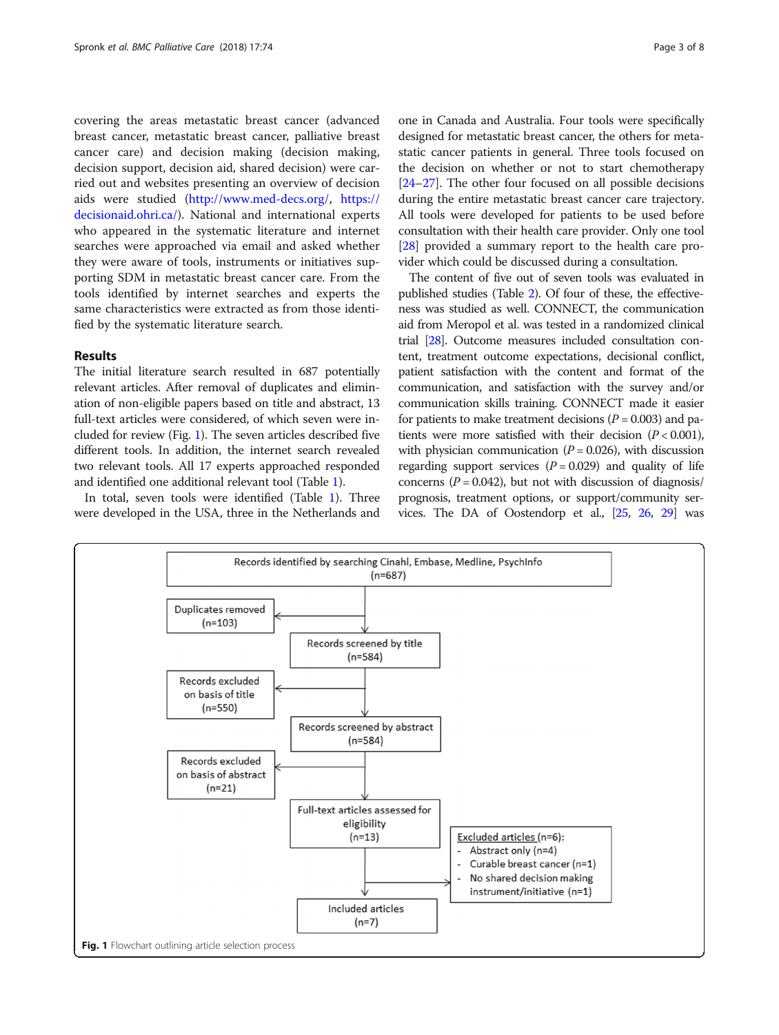covering the areas metastatic breast cancer (advanced breast cancer, metastatic breast cancer, palliative breast cancer care) and decision making (decision making, decision support, decision aid, shared decision) were carried out and websites presenting an overview of decision aids were studied [\(http://www.med-decs.org/,](http://www.med-decs.org/) [https://](https://decisionaid.ohri.ca/) [decisionaid.ohri.ca/\)](https://decisionaid.ohri.ca/). National and international experts who appeared in the systematic literature and internet searches were approached via email and asked whether they were aware of tools, instruments or initiatives supporting SDM in metastatic breast cancer care. From the tools identified by internet searches and experts the same characteristics were extracted as from those identified by the systematic literature search.

## Results

The initial literature search resulted in 687 potentially relevant articles. After removal of duplicates and elimination of non-eligible papers based on title and abstract, 13 full-text articles were considered, of which seven were included for review (Fig. 1). The seven articles described five different tools. In addition, the internet search revealed two relevant tools. All 17 experts approached responded and identified one additional relevant tool (Table [1\)](#page-3-0).

In total, seven tools were identified (Table [1](#page-3-0)). Three were developed in the USA, three in the Netherlands and one in Canada and Australia. Four tools were specifically designed for metastatic breast cancer, the others for metastatic cancer patients in general. Three tools focused on the decision on whether or not to start chemotherapy [[24](#page-7-0)–[27\]](#page-7-0). The other four focused on all possible decisions during the entire metastatic breast cancer care trajectory. All tools were developed for patients to be used before consultation with their health care provider. Only one tool [[28](#page-7-0)] provided a summary report to the health care provider which could be discussed during a consultation.

The content of five out of seven tools was evaluated in published studies (Table [2\)](#page-4-0). Of four of these, the effectiveness was studied as well. CONNECT, the communication aid from Meropol et al. was tested in a randomized clinical trial [[28](#page-7-0)]. Outcome measures included consultation content, treatment outcome expectations, decisional conflict, patient satisfaction with the content and format of the communication, and satisfaction with the survey and/or communication skills training. CONNECT made it easier for patients to make treatment decisions ( $P = 0.003$ ) and patients were more satisfied with their decision  $(P < 0.001)$ , with physician communication  $(P = 0.026)$ , with discussion regarding support services  $(P = 0.029)$  and quality of life concerns ( $P = 0.042$ ), but not with discussion of diagnosis/ prognosis, treatment options, or support/community services. The DA of Oostendorp et al., [\[25](#page-7-0), [26,](#page-7-0) [29\]](#page-7-0) was

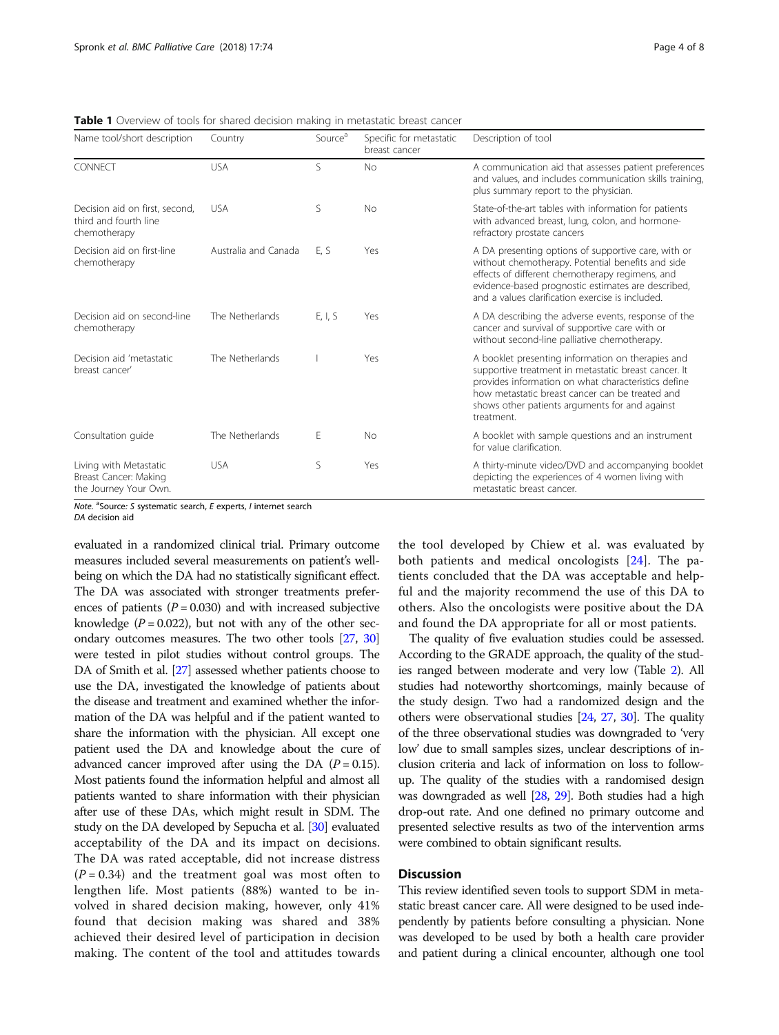<span id="page-3-0"></span>Table 1 Overview of tools for shared decision making in metastatic breast cancer

| Name tool/short description                                              | Country              | Source <sup>a</sup> | Specific for metastatic<br>breast cancer | Description of tool                                                                                                                                                                                                                                                                 |  |
|--------------------------------------------------------------------------|----------------------|---------------------|------------------------------------------|-------------------------------------------------------------------------------------------------------------------------------------------------------------------------------------------------------------------------------------------------------------------------------------|--|
| CONNECT                                                                  | <b>USA</b>           | S                   | No                                       | A communication aid that assesses patient preferences<br>and values, and includes communication skills training,<br>plus summary report to the physician.                                                                                                                           |  |
| Decision aid on first, second,<br>third and fourth line<br>chemotherapy  | <b>USA</b>           | S                   | No                                       | State-of-the-art tables with information for patients<br>with advanced breast, lung, colon, and hormone-<br>refractory prostate cancers                                                                                                                                             |  |
| Decision aid on first-line<br>chemotherapy                               | Australia and Canada | E, S                | Yes                                      | A DA presenting options of supportive care, with or<br>without chemotherapy. Potential benefits and side<br>effects of different chemotherapy regimens, and<br>evidence-based prognostic estimates are described,<br>and a values clarification exercise is included.               |  |
| Decision aid on second-line<br>chemotherapy                              | The Netherlands      | E, I, S             | Yes                                      | A DA describing the adverse events, response of the<br>cancer and survival of supportive care with or<br>without second-line palliative chemotherapy.                                                                                                                               |  |
| Decision aid 'metastatic<br>breast cancer'                               | The Netherlands      |                     | Yes                                      | A booklet presenting information on therapies and<br>supportive treatment in metastatic breast cancer. It<br>provides information on what characteristics define<br>how metastatic breast cancer can be treated and<br>shows other patients arguments for and against<br>treatment. |  |
| Consultation quide                                                       | The Netherlands      | E                   | No                                       | A booklet with sample questions and an instrument<br>for value clarification.                                                                                                                                                                                                       |  |
| Living with Metastatic<br>Breast Cancer: Making<br>the Journey Your Own. | <b>USA</b>           | S                   | Yes                                      | A thirty-minute video/DVD and accompanying booklet<br>depicting the experiences of 4 women living with<br>metastatic breast cancer.                                                                                                                                                 |  |

Note. <sup>a</sup>Source: S systematic search, E experts, *I* internet search DA decision aid

evaluated in a randomized clinical trial. Primary outcome measures included several measurements on patient's wellbeing on which the DA had no statistically significant effect. The DA was associated with stronger treatments preferences of patients ( $P = 0.030$ ) and with increased subjective knowledge ( $P = 0.022$ ), but not with any of the other secondary outcomes measures. The two other tools [\[27,](#page-7-0) [30](#page-7-0)] were tested in pilot studies without control groups. The DA of Smith et al. [\[27\]](#page-7-0) assessed whether patients choose to use the DA, investigated the knowledge of patients about the disease and treatment and examined whether the information of the DA was helpful and if the patient wanted to share the information with the physician. All except one patient used the DA and knowledge about the cure of advanced cancer improved after using the DA  $(P = 0.15)$ . Most patients found the information helpful and almost all patients wanted to share information with their physician after use of these DAs, which might result in SDM. The study on the DA developed by Sepucha et al. [\[30\]](#page-7-0) evaluated acceptability of the DA and its impact on decisions. The DA was rated acceptable, did not increase distress  $(P = 0.34)$  and the treatment goal was most often to lengthen life. Most patients (88%) wanted to be involved in shared decision making, however, only 41% found that decision making was shared and 38% achieved their desired level of participation in decision making. The content of the tool and attitudes towards

the tool developed by Chiew et al. was evaluated by both patients and medical oncologists [\[24](#page-7-0)]. The patients concluded that the DA was acceptable and helpful and the majority recommend the use of this DA to others. Also the oncologists were positive about the DA and found the DA appropriate for all or most patients.

The quality of five evaluation studies could be assessed. According to the GRADE approach, the quality of the studies ranged between moderate and very low (Table [2\)](#page-4-0). All studies had noteworthy shortcomings, mainly because of the study design. Two had a randomized design and the others were observational studies [\[24,](#page-7-0) [27](#page-7-0), [30](#page-7-0)]. The quality of the three observational studies was downgraded to 'very low' due to small samples sizes, unclear descriptions of inclusion criteria and lack of information on loss to followup. The quality of the studies with a randomised design was downgraded as well [\[28](#page-7-0), [29\]](#page-7-0). Both studies had a high drop-out rate. And one defined no primary outcome and presented selective results as two of the intervention arms were combined to obtain significant results.

#### Discussion

This review identified seven tools to support SDM in metastatic breast cancer care. All were designed to be used independently by patients before consulting a physician. None was developed to be used by both a health care provider and patient during a clinical encounter, although one tool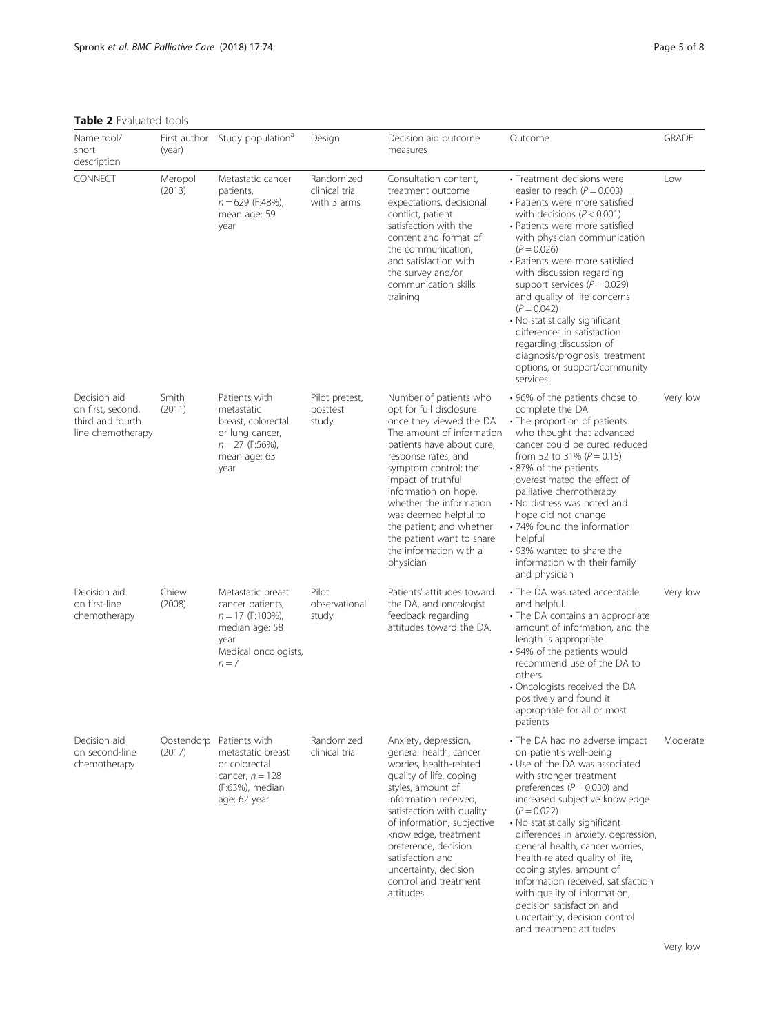<span id="page-4-0"></span>Table 2 Evaluated tools

| <b>TADIE Z</b> LVAIUALEU LUUIS<br>Name tool/                               | First author      | Study population <sup>a</sup>                                                                                          | Design                                      | Decision aid outcome                                                                                                                                                                                                                                                                                                                                                                    | Outcome                                                                                                                                                                                                                                                                                                                                                                                                                                                                                                                                                 | <b>GRADE</b> |
|----------------------------------------------------------------------------|-------------------|------------------------------------------------------------------------------------------------------------------------|---------------------------------------------|-----------------------------------------------------------------------------------------------------------------------------------------------------------------------------------------------------------------------------------------------------------------------------------------------------------------------------------------------------------------------------------------|---------------------------------------------------------------------------------------------------------------------------------------------------------------------------------------------------------------------------------------------------------------------------------------------------------------------------------------------------------------------------------------------------------------------------------------------------------------------------------------------------------------------------------------------------------|--------------|
| short<br>description                                                       | (year)            |                                                                                                                        |                                             | measures                                                                                                                                                                                                                                                                                                                                                                                |                                                                                                                                                                                                                                                                                                                                                                                                                                                                                                                                                         |              |
| <b>CONNECT</b>                                                             | Meropol<br>(2013) | Metastatic cancer<br>patients,<br>$n = 629$ (F:48%),<br>mean age: 59<br>year                                           | Randomized<br>clinical trial<br>with 3 arms | Consultation content,<br>treatment outcome<br>expectations, decisional<br>conflict, patient<br>satisfaction with the<br>content and format of<br>the communication,<br>and satisfaction with<br>the survey and/or<br>communication skills<br>training                                                                                                                                   | • Treatment decisions were<br>easier to reach ( $P = 0.003$ )<br>• Patients were more satisfied<br>with decisions ( $P < 0.001$ )<br>• Patients were more satisfied<br>with physician communication<br>$(P = 0.026)$<br>• Patients were more satisfied<br>with discussion regarding<br>support services ( $P = 0.029$ )<br>and quality of life concerns<br>$(P = 0.042)$<br>• No statistically significant<br>differences in satisfaction<br>regarding discussion of<br>diagnosis/prognosis, treatment<br>options, or support/community<br>services.    | Low          |
| Decision aid<br>on first, second,<br>third and fourth<br>line chemotherapy | Smith<br>(2011)   | Patients with<br>metastatic<br>breast, colorectal<br>or lung cancer,<br>$n = 27$ (F:56%),<br>mean age: 63<br>year      | Pilot pretest,<br>posttest<br>study         | Number of patients who<br>opt for full disclosure<br>once they viewed the DA<br>The amount of information<br>patients have about cure,<br>response rates, and<br>symptom control; the<br>impact of truthful<br>information on hope.<br>whether the information<br>was deemed helpful to<br>the patient; and whether<br>the patient want to share<br>the information with a<br>physician | • 96% of the patients chose to<br>complete the DA<br>• The proportion of patients<br>who thought that advanced<br>cancer could be cured reduced<br>from 52 to 31% ( $P = 0.15$ )<br>• 87% of the patients<br>overestimated the effect of<br>palliative chemotherapy<br>• No distress was noted and<br>hope did not change<br>• 74% found the information<br>helpful<br>• 93% wanted to share the<br>information with their family<br>and physician                                                                                                      | Very low     |
| Decision aid<br>on first-line<br>chemotherapy                              | Chiew<br>(2008)   | Metastatic breast<br>cancer patients,<br>$n = 17$ (F:100%),<br>median age: 58<br>year<br>Medical oncologists,<br>$n=7$ | Pilot<br>observational<br>study             | Patients' attitudes toward<br>the DA, and oncologist<br>feedback regarding<br>attitudes toward the DA.                                                                                                                                                                                                                                                                                  | • The DA was rated acceptable<br>and helpful.<br>· The DA contains an appropriate<br>amount of information, and the<br>length is appropriate<br>• 94% of the patients would<br>recommend use of the DA to<br>others<br>• Oncologists received the DA<br>positively and found it<br>appropriate for all or most<br>patients                                                                                                                                                                                                                              | Very low     |
| Decision aid<br>on second-line<br>chemotherapy                             | (2017)            | Oostendorp Patients with<br>metastatic breast<br>or colorectal<br>cancer, $n = 128$<br>(F:63%), median<br>age: 62 year | Randomized<br>clinical trial                | Anxiety, depression,<br>general health, cancer<br>worries, health-related<br>quality of life, coping<br>styles, amount of<br>information received,<br>satisfaction with quality<br>of information, subjective<br>knowledge, treatment<br>preference, decision<br>satisfaction and<br>uncertainty, decision<br>control and treatment<br>attitudes.                                       | • The DA had no adverse impact<br>on patient's well-being<br>• Use of the DA was associated<br>with stronger treatment<br>preferences ( $P = 0.030$ ) and<br>increased subjective knowledge<br>$(P = 0.022)$<br>• No statistically significant<br>differences in anxiety, depression,<br>general health, cancer worries,<br>health-related quality of life,<br>coping styles, amount of<br>information received, satisfaction<br>with quality of information,<br>decision satisfaction and<br>uncertainty, decision control<br>and treatment attitudes. | Moderate     |

Very low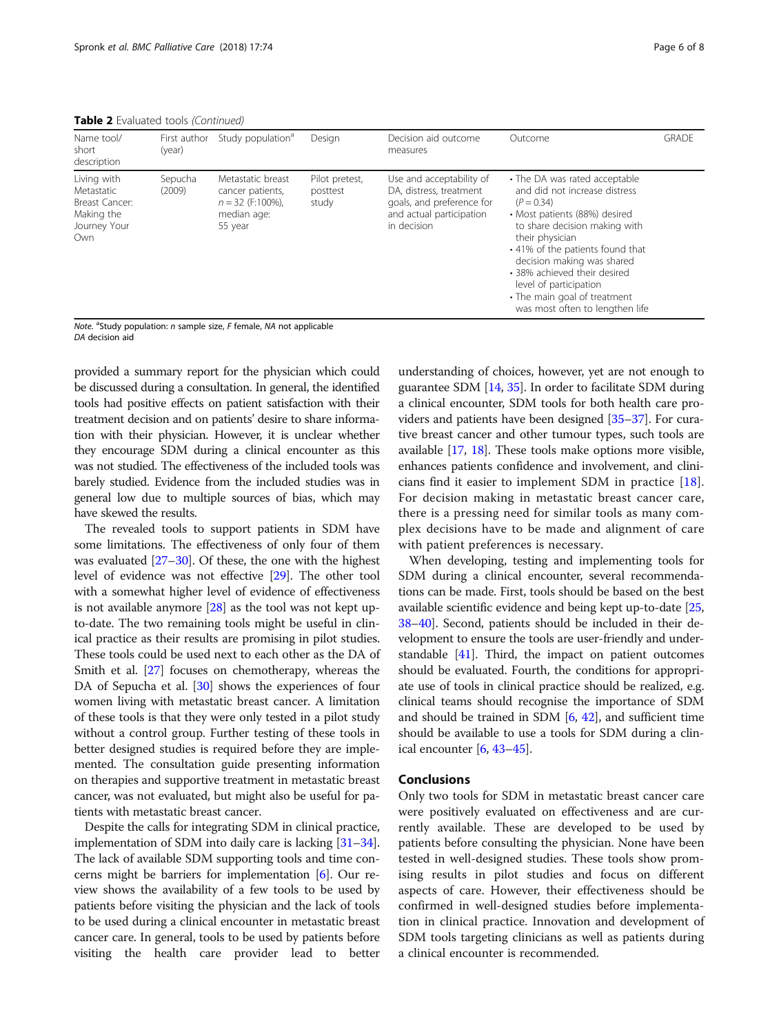Table 2 Evaluated tools (Continued)

| <b>TWORK</b> $\blacksquare$ Evaluated tools (continued)                          |                        |                                                                                       |                                     |                                                                                                                             |                                                                                                                                                                                                                                                                                                                                                                    |              |
|----------------------------------------------------------------------------------|------------------------|---------------------------------------------------------------------------------------|-------------------------------------|-----------------------------------------------------------------------------------------------------------------------------|--------------------------------------------------------------------------------------------------------------------------------------------------------------------------------------------------------------------------------------------------------------------------------------------------------------------------------------------------------------------|--------------|
| Name tool/<br>short<br>description                                               | First author<br>(year) | Study population <sup>a</sup>                                                         | Design                              | Decision aid outcome<br>measures                                                                                            | Outcome                                                                                                                                                                                                                                                                                                                                                            | <b>GRADE</b> |
| Living with<br>Metastatic<br>Breast Cancer:<br>Making the<br>Journey Your<br>Own | Sepucha<br>(2009)      | Metastatic breast<br>cancer patients,<br>$n = 32$ (F:100%),<br>median age:<br>55 year | Pilot pretest,<br>posttest<br>study | Use and acceptability of<br>DA, distress, treatment<br>goals, and preference for<br>and actual participation<br>in decision | • The DA was rated acceptable<br>and did not increase distress<br>$(P = 0.34)$<br>• Most patients (88%) desired<br>to share decision making with<br>their physician<br>• 41% of the patients found that<br>decision making was shared<br>• 38% achieved their desired<br>level of participation<br>• The main goal of treatment<br>was most often to lengthen life |              |

Note. <sup>a</sup>Study population: *n* sample size, *F* female, NA not applicable DA decision aid

provided a summary report for the physician which could be discussed during a consultation. In general, the identified tools had positive effects on patient satisfaction with their treatment decision and on patients' desire to share information with their physician. However, it is unclear whether they encourage SDM during a clinical encounter as this was not studied. The effectiveness of the included tools was barely studied. Evidence from the included studies was in general low due to multiple sources of bias, which may have skewed the results.

The revealed tools to support patients in SDM have some limitations. The effectiveness of only four of them was evaluated [[27](#page-7-0)–[30\]](#page-7-0). Of these, the one with the highest level of evidence was not effective [\[29\]](#page-7-0). The other tool with a somewhat higher level of evidence of effectiveness is not available anymore [\[28](#page-7-0)] as the tool was not kept upto-date. The two remaining tools might be useful in clinical practice as their results are promising in pilot studies. These tools could be used next to each other as the DA of Smith et al. [[27](#page-7-0)] focuses on chemotherapy, whereas the DA of Sepucha et al. [\[30](#page-7-0)] shows the experiences of four women living with metastatic breast cancer. A limitation of these tools is that they were only tested in a pilot study without a control group. Further testing of these tools in better designed studies is required before they are implemented. The consultation guide presenting information on therapies and supportive treatment in metastatic breast cancer, was not evaluated, but might also be useful for patients with metastatic breast cancer.

Despite the calls for integrating SDM in clinical practice, implementation of SDM into daily care is lacking [\[31](#page-7-0)–[34](#page-7-0)]. The lack of available SDM supporting tools and time concerns might be barriers for implementation  $[6]$  $[6]$ . Our review shows the availability of a few tools to be used by patients before visiting the physician and the lack of tools to be used during a clinical encounter in metastatic breast cancer care. In general, tools to be used by patients before visiting the health care provider lead to better

understanding of choices, however, yet are not enough to guarantee SDM [\[14](#page-7-0), [35\]](#page-7-0). In order to facilitate SDM during a clinical encounter, SDM tools for both health care providers and patients have been designed [[35](#page-7-0)–[37\]](#page-7-0). For curative breast cancer and other tumour types, such tools are available [\[17,](#page-7-0) [18](#page-7-0)]. These tools make options more visible, enhances patients confidence and involvement, and clinicians find it easier to implement SDM in practice [[18](#page-7-0)]. For decision making in metastatic breast cancer care, there is a pressing need for similar tools as many complex decisions have to be made and alignment of care with patient preferences is necessary.

When developing, testing and implementing tools for SDM during a clinical encounter, several recommendations can be made. First, tools should be based on the best available scientific evidence and being kept up-to-date [[25](#page-7-0), [38](#page-7-0)–[40\]](#page-7-0). Second, patients should be included in their development to ensure the tools are user-friendly and understandable  $[41]$  $[41]$  $[41]$ . Third, the impact on patient outcomes should be evaluated. Fourth, the conditions for appropriate use of tools in clinical practice should be realized, e.g. clinical teams should recognise the importance of SDM and should be trained in SDM [[6,](#page-6-0) [42\]](#page-7-0), and sufficient time should be available to use a tools for SDM during a clinical encounter [\[6,](#page-6-0) [43](#page-7-0)–[45\]](#page-7-0).

## Conclusions

Only two tools for SDM in metastatic breast cancer care were positively evaluated on effectiveness and are currently available. These are developed to be used by patients before consulting the physician. None have been tested in well-designed studies. These tools show promising results in pilot studies and focus on different aspects of care. However, their effectiveness should be confirmed in well-designed studies before implementation in clinical practice. Innovation and development of SDM tools targeting clinicians as well as patients during a clinical encounter is recommended.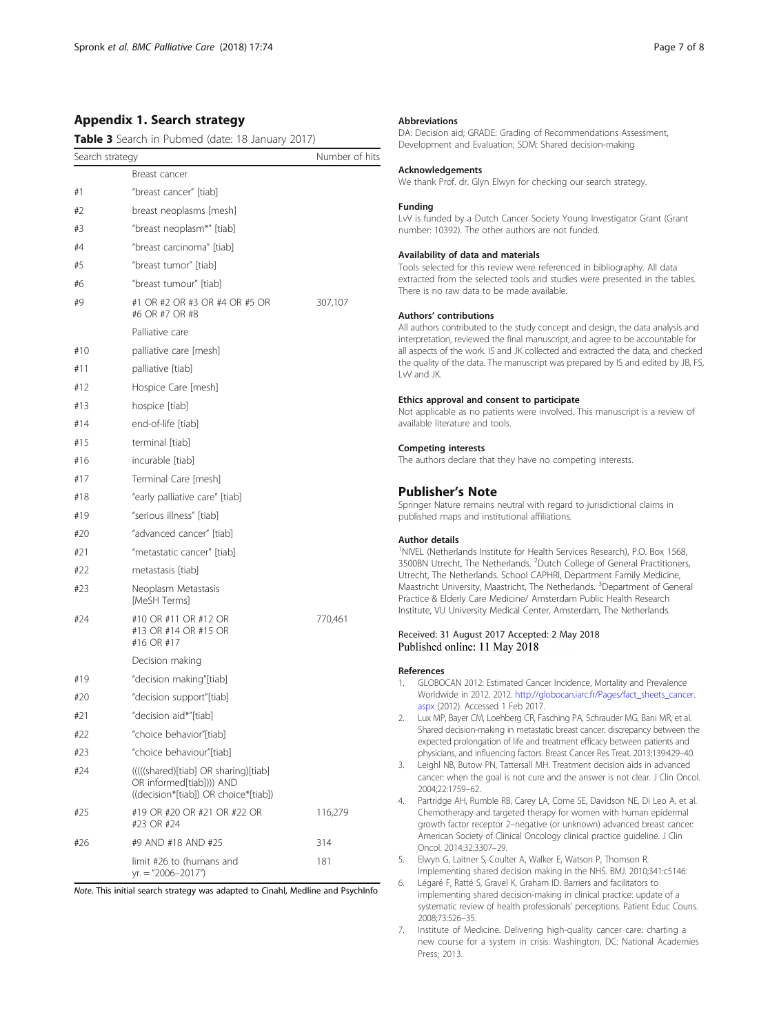## <span id="page-6-0"></span>Appendix 1. Search strategy

Table 3 Search in Pubmed (date: 18 January 2017)

| Search strategy |                                                                                                          | Number of hits |
|-----------------|----------------------------------------------------------------------------------------------------------|----------------|
|                 | Breast cancer                                                                                            |                |
| #1              | "breast cancer" [tiab]                                                                                   |                |
| #2              | breast neoplasms [mesh]                                                                                  |                |
| #3              | "breast neoplasm*" [tiab]                                                                                |                |
| #4              | "breast carcinoma" [tiab]                                                                                |                |
| #5              | "breast tumor" [tiab]                                                                                    |                |
| #6              | "breast tumour" [tiab]                                                                                   |                |
| #9              | #1 OR #2 OR #3 OR #4 OR #5 OR<br>#6 OR #7 OR #8                                                          | 307,107        |
|                 | Palliative care                                                                                          |                |
| #10             | palliative care [mesh]                                                                                   |                |
| #11             | palliative [tiab]                                                                                        |                |
| #12             | Hospice Care [mesh]                                                                                      |                |
| #13             | hospice [tiab]                                                                                           |                |
| #14             | end-of-life [tiab]                                                                                       |                |
| #15             | terminal [tiab]                                                                                          |                |
| #16             | incurable [tiab]                                                                                         |                |
| #17             | Terminal Care [mesh]                                                                                     |                |
| #18             | "early palliative care" [tiab]                                                                           |                |
| #19             | "serious illness" [tiab]                                                                                 |                |
| #20             | "advanced cancer" [tiab]                                                                                 |                |
| #21             | "metastatic cancer" [tiab]                                                                               |                |
| #22             | metastasis [tiab]                                                                                        |                |
| #23             | Neoplasm Metastasis<br>[MeSH Terms]                                                                      |                |
| #24             | #10 OR #11 OR #12 OR<br>#13 OR #14 OR #15 OR<br>#16 OR #17                                               | 770,461        |
|                 | Decision making                                                                                          |                |
| #19             | "decision making"[tiab]                                                                                  |                |
| #20             | "decision support"[tiab]                                                                                 |                |
| #21             | "decision aid*"[tiab]                                                                                    |                |
| #22             | "choice behavior"[tiab]                                                                                  |                |
| #23             | "choice behaviour"[tiab]                                                                                 |                |
| #24             | (((((shared)[tiab] OR sharing)[tiab]<br>OR informed[tiab]))) AND<br>((decision*[tiab]) OR choice*[tiab]) |                |
| #25             | #19 OR #20 OR #21 OR #22 OR<br>#23 OR #24                                                                | 116,279        |
| #26             | #9 AND #18 AND #25                                                                                       | 314            |
|                 | limit #26 to (humans and<br>$yr = 2006 - 2017'$                                                          | 181            |

Note. This initial search strategy was adapted to Cinahl, Medline and PsychInfo

#### Abbreviations

DA: Decision aid; GRADE: Grading of Recommendations Assessment, Development and Evaluation; SDM: Shared decision-making

#### Acknowledgements

We thank Prof. dr. Glyn Elwyn for checking our search strategy.

#### Funding

LvV is funded by a Dutch Cancer Society Young Investigator Grant (Grant number: 10392). The other authors are not funded.

#### Availability of data and materials

Tools selected for this review were referenced in bibliography. All data extracted from the selected tools and studies were presented in the tables. There is no raw data to be made available.

#### Authors' contributions

All authors contributed to the study concept and design, the data analysis and interpretation, reviewed the final manuscript, and agree to be accountable for all aspects of the work. IS and JK collected and extracted the data, and checked the quality of the data. The manuscript was prepared by IS and edited by JB, FS, LvV and JK.

#### Ethics approval and consent to participate

Not applicable as no patients were involved. This manuscript is a review of available literature and tools.

## Competing interests

The authors declare that they have no competing interests.

#### Publisher's Note

Springer Nature remains neutral with regard to jurisdictional claims in published maps and institutional affiliations.

#### Author details

<sup>1</sup>NIVEL (Netherlands Institute for Health Services Research), P.O. Box 1568 3500BN Utrecht, The Netherlands. <sup>2</sup>Dutch College of General Practitioners Utrecht, The Netherlands. School CAPHRI, Department Family Medicine, Maastricht University, Maastricht, The Netherlands. <sup>3</sup>Department of General Practice & Elderly Care Medicine/ Amsterdam Public Health Research Institute, VU University Medical Center, Amsterdam, The Netherlands.

#### Received: 31 August 2017 Accepted: 2 May 2018 Published online: 11 May 2018

#### References

- 1. GLOBOCAN 2012: Estimated Cancer Incidence, Mortality and Prevalence Worldwide in 2012. 2012. [http://globocan.iarc.fr/Pages/fact\\_sheets\\_cancer.](http://globocan.iarc.fr/Pages/fact_sheets_cancer.aspx) [aspx](http://globocan.iarc.fr/Pages/fact_sheets_cancer.aspx) (2012). Accessed 1 Feb 2017.
- 2. Lux MP, Bayer CM, Loehberg CR, Fasching PA, Schrauder MG, Bani MR, et al. Shared decision-making in metastatic breast cancer: discrepancy between the expected prolongation of life and treatment efficacy between patients and physicians, and influencing factors. Breast Cancer Res Treat. 2013;139:429–40.
- 3. Leighl NB, Butow PN, Tattersall MH. Treatment decision aids in advanced cancer: when the goal is not cure and the answer is not clear. J Clin Oncol. 2004;22:1759–62.
- 4. Partridge AH, Rumble RB, Carey LA, Come SE, Davidson NE, Di Leo A, et al. Chemotherapy and targeted therapy for women with human epidermal growth factor receptor 2–negative (or unknown) advanced breast cancer: American Society of Clinical Oncology clinical practice guideline. J Clin Oncol. 2014;32:3307–29.
- 5. Elwyn G, Laitner S, Coulter A, Walker E, Watson P, Thomson R. Implementing shared decision making in the NHS. BMJ. 2010;341:c5146.
- 6. Légaré F, Ratté S, Gravel K, Graham ID. Barriers and facilitators to implementing shared decision-making in clinical practice: update of a systematic review of health professionals' perceptions. Patient Educ Couns. 2008;73:526–35.
- 7. Institute of Medicine. Delivering high-quality cancer care: charting a new course for a system in crisis. Washington, DC: National Academies Press; 2013.